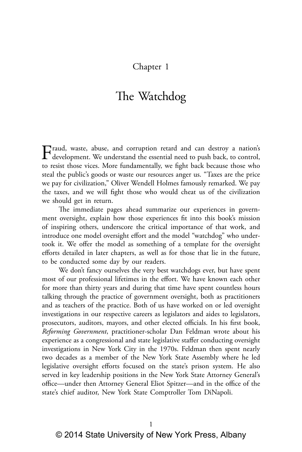### Chapter 1

# The Watchdog

Fraud, waste, abuse, and corruption retard and can destroy a nation's development. We understand the essential need to push back, to control, to resist those vices. More fundamentally, we fight back because those who steal the public's goods or waste our resources anger us. "Taxes are the price we pay for civilization," Oliver Wendell Holmes famously remarked. We pay the taxes, and we will fight those who would cheat us of the civilization we should get in return.

The immediate pages ahead summarize our experiences in government oversight, explain how those experiences fit into this book's mission of inspiring others, underscore the critical importance of that work, and introduce one model oversight effort and the model "watchdog" who undertook it. We offer the model as something of a template for the oversight efforts detailed in later chapters, as well as for those that lie in the future, to be conducted some day by our readers.

We don't fancy ourselves the very best watchdogs ever, but have spent most of our professional lifetimes in the effort. We have known each other for more than thirty years and during that time have spent countless hours talking through the practice of government oversight, both as practitioners and as teachers of the practice. Both of us have worked on or led oversight investigations in our respective careers as legislators and aides to legislators, prosecutors, auditors, mayors, and other elected officials. In his first book, *Reforming Government*, practitioner-scholar Dan Feldman wrote about his experience as a congressional and state legislative staffer conducting oversight investigations in New York City in the 1970s. Feldman then spent nearly two decades as a member of the New York State Assembly where he led legislative oversight efforts focused on the state's prison system. He also served in key leadership positions in the New York State Attorney General's office—under then Attorney General Eliot Spitzer—and in the office of the state's chief auditor, New York State Comptroller Tom DiNapoli.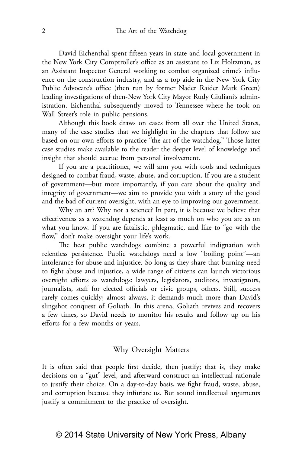David Eichenthal spent fifteen years in state and local government in the New York City Comptroller's office as an assistant to Liz Holtzman, as an Assistant Inspector General working to combat organized crime's influence on the construction industry, and as a top aide in the New York City Public Advocate's office (then run by former Nader Raider Mark Green) leading investigations of then-New York City Mayor Rudy Giuliani's administration. Eichenthal subsequently moved to Tennessee where he took on Wall Street's role in public pensions.

Although this book draws on cases from all over the United States, many of the case studies that we highlight in the chapters that follow are based on our own efforts to practice "the art of the watchdog." Those latter case studies make available to the reader the deeper level of knowledge and insight that should accrue from personal involvement.

If you are a practitioner, we will arm you with tools and techniques designed to combat fraud, waste, abuse, and corruption. If you are a student of government—but more importantly, if you care about the quality and integrity of government—we aim to provide you with a story of the good and the bad of current oversight, with an eye to improving our government.

Why an art? Why not a science? In part, it is because we believe that effectiveness as a watchdog depends at least as much on who you are as on what you know. If you are fatalistic, phlegmatic, and like to "go with the flow," don't make oversight your life's work.

The best public watchdogs combine a powerful indignation with relentless persistence. Public watchdogs need a low "boiling point"—an intolerance for abuse and injustice. So long as they share that burning need to fight abuse and injustice, a wide range of citizens can launch victorious oversight efforts as watchdogs: lawyers, legislators, auditors, investigators, journalists, staff for elected officials or civic groups, others. Still, success rarely comes quickly; almost always, it demands much more than David's slingshot conquest of Goliath. In this arena, Goliath revives and recovers a few times, so David needs to monitor his results and follow up on his efforts for a few months or years.

#### Why Oversight Matters

It is often said that people first decide, then justify; that is, they make decisions on a "gut" level, and afterward construct an intellectual rationale to justify their choice. On a day-to-day basis, we fight fraud, waste, abuse, and corruption because they infuriate us. But sound intellectual arguments justify a commitment to the practice of oversight.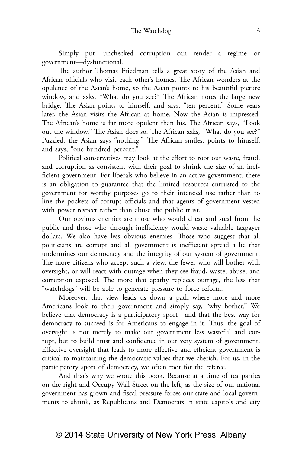Simply put, unchecked corruption can render a regime—or government—dysfunctional.

The author Thomas Friedman tells a great story of the Asian and African officials who visit each other's homes. The African wonders at the opulence of the Asian's home, so the Asian points to his beautiful picture window, and asks, "What do you see?" The African notes the large new bridge. The Asian points to himself, and says, "ten percent." Some years later, the Asian visits the African at home. Now the Asian is impressed: The African's home is far more opulent than his. The African says, "Look out the window." The Asian does so. The African asks, "What do you see?" Puzzled, the Asian says "nothing!" The African smiles, points to himself, and says, "one hundred percent."

Political conservatives may look at the effort to root out waste, fraud, and corruption as consistent with their goal to shrink the size of an inefficient government. For liberals who believe in an active government, there is an obligation to guarantee that the limited resources entrusted to the government for worthy purposes go to their intended use rather than to line the pockets of corrupt officials and that agents of government vested with power respect rather than abuse the public trust.

Our obvious enemies are those who would cheat and steal from the public and those who through inefficiency would waste valuable taxpayer dollars. We also have less obvious enemies. Those who suggest that all politicians are corrupt and all government is inefficient spread a lie that undermines our democracy and the integrity of our system of government. The more citizens who accept such a view, the fewer who will bother with oversight, or will react with outrage when they see fraud, waste, abuse, and corruption exposed. The more that apathy replaces outrage, the less that "watchdogs" will be able to generate pressure to force reform.

Moreover, that view leads us down a path where more and more Americans look to their government and simply say, "why bother." We believe that democracy is a participatory sport—and that the best way for democracy to succeed is for Americans to engage in it. Thus, the goal of oversight is not merely to make our government less wasteful and corrupt, but to build trust and confidence in our very system of government. Effective oversight that leads to more effective and efficient government is critical to maintaining the democratic values that we cherish. For us, in the participatory sport of democracy, we often root for the referee.

And that's why we wrote this book. Because at a time of tea parties on the right and Occupy Wall Street on the left, as the size of our national government has grown and fiscal pressure forces our state and local governments to shrink, as Republicans and Democrats in state capitols and city

### © 2014 State University of New York Press, Albany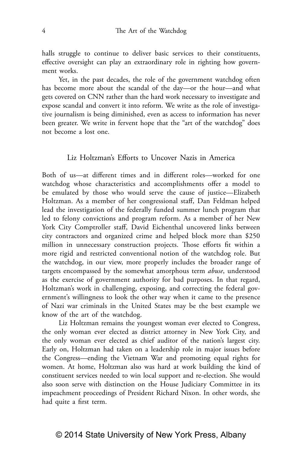halls struggle to continue to deliver basic services to their constituents, effective oversight can play an extraordinary role in righting how government works.

Yet, in the past decades, the role of the government watchdog often has become more about the scandal of the day—or the hour—and what gets covered on CNN rather than the hard work necessary to investigate and expose scandal and convert it into reform. We write as the role of investigative journalism is being diminished, even as access to information has never been greater. We write in fervent hope that the "art of the watchdog" does not become a lost one.

#### Liz Holtzman's Efforts to Uncover Nazis in America

Both of us—at different times and in different roles—worked for one watchdog whose characteristics and accomplishments offer a model to be emulated by those who would serve the cause of justice—Elizabeth Holtzman. As a member of her congressional staff, Dan Feldman helped lead the investigation of the federally funded summer lunch program that led to felony convictions and program reform. As a member of her New York City Comptroller staff, David Eichenthal uncovered links between city contractors and organized crime and helped block more than \$250 million in unnecessary construction projects. Those efforts fit within a more rigid and restricted conventional notion of the watchdog role. But the watchdog, in our view, more properly includes the broader range of targets encompassed by the somewhat amorphous term *abuse*, understood as the exercise of government authority for bad purposes. In that regard, Holtzman's work in challenging, exposing, and correcting the federal government's willingness to look the other way when it came to the presence of Nazi war criminals in the United States may be the best example we know of the art of the watchdog.

Liz Holtzman remains the youngest woman ever elected to Congress, the only woman ever elected as district attorney in New York City, and the only woman ever elected as chief auditor of the nation's largest city. Early on, Holtzman had taken on a leadership role in major issues before the Congress—ending the Vietnam War and promoting equal rights for women. At home, Holtzman also was hard at work building the kind of constituent services needed to win local support and re-election. She would also soon serve with distinction on the House Judiciary Committee in its impeachment proceedings of President Richard Nixon. In other words, she had quite a first term.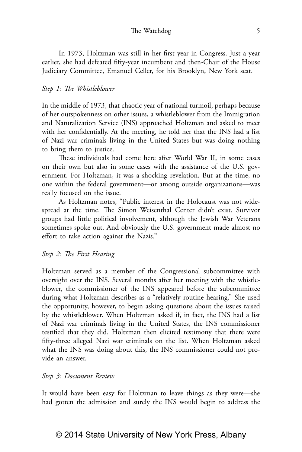#### The Watchdog 5

In 1973, Holtzman was still in her first year in Congress. Just a year earlier, she had defeated fifty-year incumbent and then-Chair of the House Judiciary Committee, Emanuel Celler, for his Brooklyn, New York seat.

#### *Step 1: The Whistleblower*

In the middle of 1973, that chaotic year of national turmoil, perhaps because of her outspokenness on other issues, a whistleblower from the Immigration and Naturalization Service (INS) approached Holtzman and asked to meet with her confidentially. At the meeting, he told her that the INS had a list of Nazi war criminals living in the United States but was doing nothing to bring them to justice.

These individuals had come here after World War II, in some cases on their own but also in some cases with the assistance of the U.S. government. For Holtzman, it was a shocking revelation. But at the time, no one within the federal government—or among outside organizations—was really focused on the issue.

As Holtzman notes, "Public interest in the Holocaust was not widespread at the time. The Simon Weisenthal Center didn't exist. Survivor groups had little political involvement, although the Jewish War Veterans sometimes spoke out. And obviously the U.S. government made almost no effort to take action against the Nazis."

#### *Step 2: The First Hearing*

Holtzman served as a member of the Congressional subcommittee with oversight over the INS. Several months after her meeting with the whistleblower, the commissioner of the INS appeared before the subcommittee during what Holtzman describes as a "relatively routine hearing." She used the opportunity, however, to begin asking questions about the issues raised by the whistleblower. When Holtzman asked if, in fact, the INS had a list of Nazi war criminals living in the United States, the INS commissioner testified that they did. Holtzman then elicited testimony that there were fifty-three alleged Nazi war criminals on the list. When Holtzman asked what the INS was doing about this, the INS commissioner could not provide an answer.

#### *Step 3: Document Review*

It would have been easy for Holtzman to leave things as they were—she had gotten the admission and surely the INS would begin to address the

## © 2014 State University of New York Press, Albany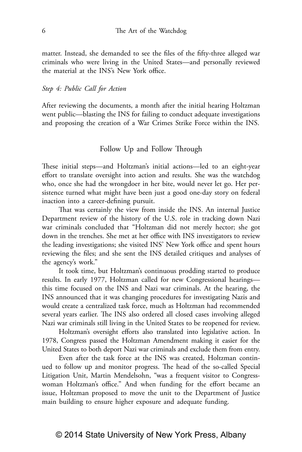matter. Instead, she demanded to see the files of the fifty-three alleged war criminals who were living in the United States—and personally reviewed the material at the INS's New York office.

#### *Step 4: Public Call for Action*

After reviewing the documents, a month after the initial hearing Holtzman went public—blasting the INS for failing to conduct adequate investigations and proposing the creation of a War Crimes Strike Force within the INS.

#### Follow Up and Follow Through

These initial steps—and Holtzman's initial actions—led to an eight-year effort to translate oversight into action and results. She was the watchdog who, once she had the wrongdoer in her bite, would never let go. Her persistence turned what might have been just a good one-day story on federal inaction into a career-defining pursuit.

That was certainly the view from inside the INS. An internal Justice Department review of the history of the U.S. role in tracking down Nazi war criminals concluded that "Holtzman did not merely hector; she got down in the trenches. She met at her office with INS investigators to review the leading investigations; she visited INS' New York office and spent hours reviewing the files; and she sent the INS detailed critiques and analyses of the agency's work."

It took time, but Holtzman's continuous prodding started to produce results. In early 1977, Holtzman called for new Congressional hearings this time focused on the INS and Nazi war criminals. At the hearing, the INS announced that it was changing procedures for investigating Nazis and would create a centralized task force, much as Holtzman had recommended several years earlier. The INS also ordered all closed cases involving alleged Nazi war criminals still living in the United States to be reopened for review.

Holtzman's oversight efforts also translated into legislative action. In 1978, Congress passed the Holtzman Amendment making it easier for the United States to both deport Nazi war criminals and exclude them from entry.

Even after the task force at the INS was created, Holtzman continued to follow up and monitor progress. The head of the so-called Special Litigation Unit, Martin Mendelsohn, "was a frequent visitor to Congresswoman Holtzman's office." And when funding for the effort became an issue, Holtzman proposed to move the unit to the Department of Justice main building to ensure higher exposure and adequate funding.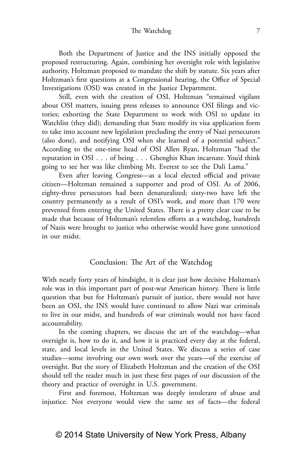#### The Watchdog 7

Both the Department of Justice and the INS initially opposed the proposed restructuring. Again, combining her oversight role with legislative authority, Holtzman proposed to mandate the shift by statute. Six years after Holtzman's first questions at a Congressional hearing, the Office of Special Investigations (OSI) was created in the Justice Department.

Still, even with the creation of OSI, Holtzman "remained vigilant about OSI matters, issuing press releases to announce OSI filings and victories; exhorting the State Department to work with OSI to update its Watchlist (they did); demanding that State modify its visa application form to take into account new legislation precluding the entry of Nazi persecutors (also done), and notifying OSI when she learned of a potential subject." According to the one-time head of OSI Allen Ryan, Holtzman "had the reputation in OSI . . . of being . . . Ghenghis Khan incarnate. You'd think going to see her was like climbing Mt. Everest to see the Dali Lama."

Even after leaving Congress—as a local elected official and private citizen—Holtzman remained a supporter and prod of OSI. As of 2006, eighty-three persecutors had been denaturalized; sixty-two have left the country permanently as a result of OSI's work, and more than 170 were prevented from entering the United States. There is a pretty clear case to be made that because of Holtzman's relentless efforts as a watchdog, hundreds of Nazis were brought to justice who otherwise would have gone unnoticed in our midst.

#### Conclusion: The Art of the Watchdog

With nearly forty years of hindsight, it is clear just how decisive Holtzman's role was in this important part of post-war American history. There is little question that but for Holtzman's pursuit of justice, there would not have been an OSI, the INS would have continued to allow Nazi war criminals to live in our midst, and hundreds of war criminals would not have faced accountability.

In the coming chapters, we discuss the art of the watchdog—what oversight is, how to do it, and how it is practiced every day at the federal, state, and local levels in the United States. We discuss a series of case studies—some involving our own work over the years—of the exercise of oversight. But the story of Elizabeth Holtzman and the creation of the OSI should tell the reader much in just these first pages of our discussion of the theory and practice of oversight in U.S. government.

First and foremost, Holtzman was deeply intolerant of abuse and injustice. Not everyone would view the same set of facts—the federal

### © 2014 State University of New York Press, Albany